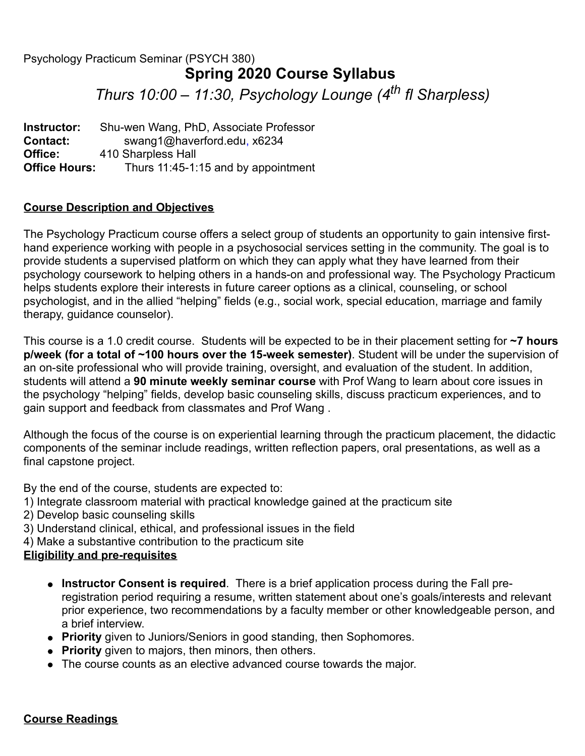# Psychology Practicum Seminar (PSYCH 380) **Spring 2020 Course Syllabus** *Thurs 10:00 – 11:30, Psychology Lounge (4th fl Sharpless)*

**Instructor:** Shu-wen Wang, PhD, Associate Professor **Contact:** swang1@haverford.edu, x6234 **Office:** 410 Sharpless Hall **Office Hours:** Thurs 11:45-1:15 and by appointment

### **Course Description and Objectives**

The Psychology Practicum course offers a select group of students an opportunity to gain intensive firsthand experience working with people in a psychosocial services setting in the community. The goal is to provide students a supervised platform on which they can apply what they have learned from their psychology coursework to helping others in a hands-on and professional way. The Psychology Practicum helps students explore their interests in future career options as a clinical, counseling, or school psychologist, and in the allied "helping" fields (e.g., social work, special education, marriage and family therapy, guidance counselor).

This course is a 1.0 credit course. Students will be expected to be in their placement setting for **~7 hours p/week (for a total of ~100 hours over the 15-week semester)**. Student will be under the supervision of an on-site professional who will provide training, oversight, and evaluation of the student. In addition, students will attend a **90 minute weekly seminar course** with Prof Wang to learn about core issues in the psychology "helping" fields, develop basic counseling skills, discuss practicum experiences, and to gain support and feedback from classmates and Prof Wang .

Although the focus of the course is on experiential learning through the practicum placement, the didactic components of the seminar include readings, written reflection papers, oral presentations, as well as a final capstone project.

By the end of the course, students are expected to:

- 1) Integrate classroom material with practical knowledge gained at the practicum site
- 2) Develop basic counseling skills
- 3) Understand clinical, ethical, and professional issues in the field
- 4) Make a substantive contribution to the practicum site

# **Eligibility and pre-requisites**

- **Instructor Consent is required**. There is a brief application process during the Fall preregistration period requiring a resume, written statement about one's goals/interests and relevant prior experience, two recommendations by a faculty member or other knowledgeable person, and a brief interview.
- **Priority** given to Juniors/Seniors in good standing, then Sophomores.
- **Priority** given to majors, then minors, then others.
- The course counts as an elective advanced course towards the major.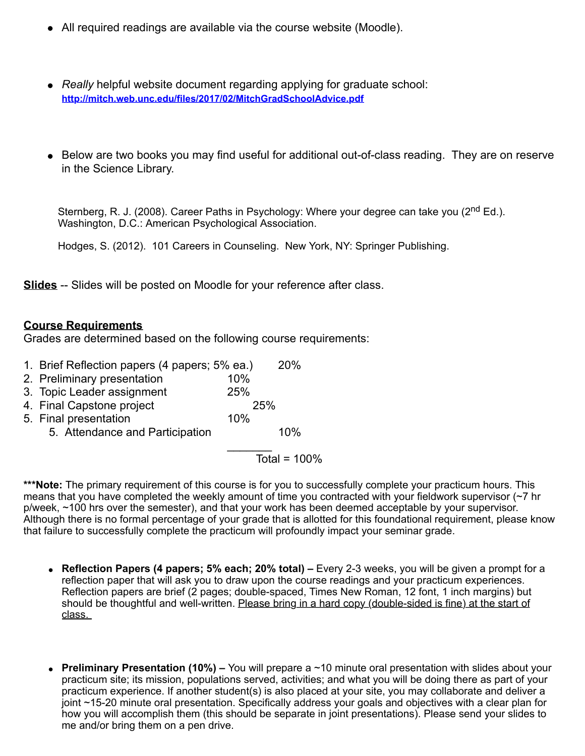- All required readings are available via the course website (Moodle).
- *Really* helpful website document regarding applying for graduate school: **http://mitch.web.unc.edu/files/2017/02/MitchGradSchoolAdvice.pdf**
- Below are two books you may find useful for additional out-of-class reading. They are on reserve in the Science Library.

Sternberg, R. J. (2008). Career Paths in Psychology: Where your degree can take you (2<sup>nd</sup> Ed.). Washington, D.C.: American Psychological Association.

Hodges, S. (2012). 101 Careers in Counseling. New York, NY: Springer Publishing.

**Slides** -- Slides will be posted on Moodle for your reference after class.

#### **Course Requirements**

Grades are determined based on the following course requirements:

- 1. Brief Reflection papers (4 papers; 5% ea.) 20%
- 2. Preliminary presentation 10%
- 3. Topic Leader assignment 25%
- 4. Final Capstone project 25%
- 5. Final presentation 10%
	- 5. Attendance and Participation 10%

 $\mathcal{L}=\frac{1}{2}$ Total =  $100\%$ 

\*\*\*Note: The primary requirement of this course is for you to successfully complete your practicum hours. This means that you have completed the weekly amount of time you contracted with your fieldwork supervisor (~7 hr p/week, ~100 hrs over the semester), and that your work has been deemed acceptable by your supervisor. Although there is no formal percentage of your grade that is allotted for this foundational requirement, please know that failure to successfully complete the practicum will profoundly impact your seminar grade.

- **Reflection Papers (4 papers; 5% each; 20% total)** Every 2-3 weeks, you will be given a prompt for a reflection paper that will ask you to draw upon the course readings and your practicum experiences. Reflection papers are brief (2 pages; double-spaced, Times New Roman, 12 font, 1 inch margins) but should be thoughtful and well-written. Please bring in a hard copy (double-sided is fine) at the start of class.
- **Preliminary Presentation (10%)** You will prepare a ~10 minute oral presentation with slides about your practicum site; its mission, populations served, activities; and what you will be doing there as part of your practicum experience. If another student(s) is also placed at your site, you may collaborate and deliver a joint ~15-20 minute oral presentation. Specifically address your goals and objectives with a clear plan for how you will accomplish them (this should be separate in joint presentations). Please send your slides to me and/or bring them on a pen drive.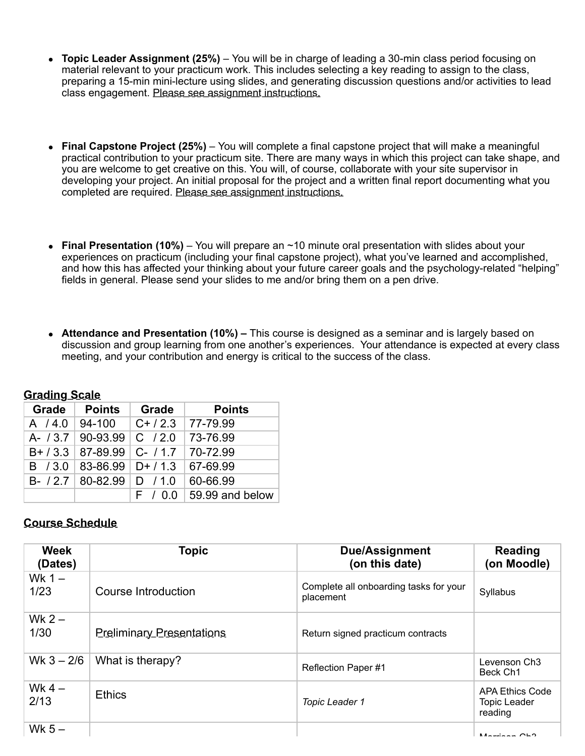- **Topic Leader Assignment (25%)** You will be in charge of leading a 30-min class period focusing on material relevant to your practicum work. This includes selecting a key reading to assign to the class, preparing a 15-min mini-lecture using slides, and generating discussion questions and/or activities to lead class engagement. Please see assignment instructions.
- **Final Capstone Project (25%)** You will complete a final capstone project that will make a meaningful practical contribution to your practicum site. There are many ways in which this project can take shape, and you are welcome to get creative on this. You will, of course, collaborate with your site supervisor in developing your project. An initial proposal for the project and a written final report documenting what you completed are required. Please see assignment instructions.
- **Final Presentation (10%)** You will prepare an ~10 minute oral presentation with slides about your experiences on practicum (including your final capstone project), what you've learned and accomplished, and how this has affected your thinking about your future career goals and the psychology-related "helping" fields in general. Please send your slides to me and/or bring them on a pen drive.
- **Attendance and Presentation (10%)** This course is designed as a seminar and is largely based on discussion and group learning from one another's experiences. Your attendance is expected at every class meeting, and your contribution and energy is critical to the success of the class.

| Grade   | <b>Points</b>                    | Grade      | <b>Points</b>   |  |  |
|---------|----------------------------------|------------|-----------------|--|--|
|         | A / 4.0   94-100                 | $C+ / 2.3$ | 77-79.99        |  |  |
|         | A- $/3.7$   90-93.99   C $/2.0$  |            | 73-76.99        |  |  |
|         | $B+$ / 3.3   87-89.99   C- / 1.7 |            | $ 70-72.99$     |  |  |
| B / 3.0 | $83 - 86.99$ D+ / 1.3            |            | 67-69.99        |  |  |
|         | B- $/2.7$   80-82.99   D $/1.0$  |            | 60-66.99        |  |  |
|         |                                  | F / 00     | 59.99 and below |  |  |

# **Grading Scale**

#### **Course Schedule**

| <b>Week</b><br>(Dates) | <b>Topic</b>                     | <b>Due/Assignment</b><br>(on this date)             | <b>Reading</b><br>(on Moodle)                            |
|------------------------|----------------------------------|-----------------------------------------------------|----------------------------------------------------------|
| Wk $1 -$<br>1/23       | Course Introduction              | Complete all onboarding tasks for your<br>placement | Syllabus                                                 |
| Wk $2-$<br>1/30        | <b>Preliminary Presentations</b> | Return signed practicum contracts                   |                                                          |
| Wk $3 - 2/6$           | What is therapy?                 | <b>Reflection Paper#1</b>                           | Levenson Ch <sub>3</sub><br>Beck Ch1                     |
| Wk $4-$<br>2/13        | <b>Ethics</b>                    | <b>Topic Leader 1</b>                               | <b>APA Ethics Code</b><br><b>Topic Leader</b><br>reading |
| Wk $5-$                |                                  |                                                     | $M = 1$                                                  |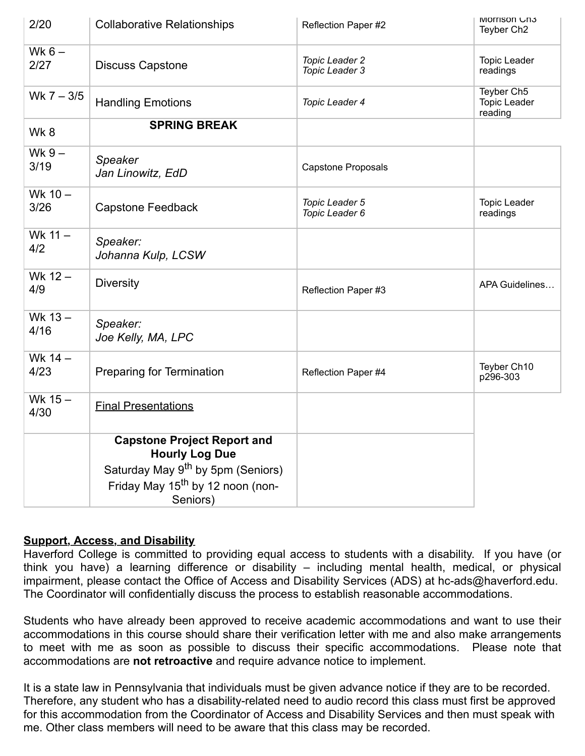| 2/20              | <b>Collaborative Relationships</b>                          | Reflection Paper #2                     | <b>IVIOITISON UN3</b><br>Teyber Ch <sub>2</sub> |
|-------------------|-------------------------------------------------------------|-----------------------------------------|-------------------------------------------------|
| Wk $6-$<br>2/27   | <b>Discuss Capstone</b>                                     | <b>Topic Leader 2</b><br>Topic Leader 3 | <b>Topic Leader</b><br>readings                 |
| Wk $7 - 3/5$      | <b>Handling Emotions</b>                                    | Topic Leader 4                          | Teyber Ch5<br><b>Topic Leader</b><br>reading    |
| Wk8               | <b>SPRING BREAK</b>                                         |                                         |                                                 |
| Wk $9-$<br>3/19   | <b>Speaker</b><br>Jan Linowitz, EdD                         | <b>Capstone Proposals</b>               |                                                 |
| Wk $10 -$<br>3/26 | <b>Capstone Feedback</b>                                    | Topic Leader 5<br>Topic Leader 6        | <b>Topic Leader</b><br>readings                 |
| Wk 11 -<br>4/2    | Speaker:<br>Johanna Kulp, LCSW                              |                                         |                                                 |
| Wk $12 -$<br>4/9  | <b>Diversity</b>                                            | Reflection Paper #3                     | APA Guidelines                                  |
| Wk 13-<br>4/16    | Speaker:<br>Joe Kelly, MA, LPC                              |                                         |                                                 |
| Wk 14 -<br>4/23   | <b>Preparing for Termination</b>                            | Reflection Paper #4                     | Teyber Ch10<br>p296-303                         |
| Wk $15-$<br>4/30  | <b>Final Presentations</b>                                  |                                         |                                                 |
|                   | <b>Capstone Project Report and</b><br><b>Hourly Log Due</b> |                                         |                                                 |
|                   | Saturday May 9 <sup>th</sup> by 5pm (Seniors)               |                                         |                                                 |
|                   | Friday May 15 <sup>th</sup> by 12 noon (non-<br>Seniors)    |                                         |                                                 |

# **Support, Access, and Disability**

Haverford College is committed to providing equal access to students with a disability. If you have (or think you have) a learning difference or disability – including mental health, medical, or physical impairment, please contact the Office of Access and Disability Services (ADS) at hc-ads@haverford.edu. The Coordinator will confidentially discuss the process to establish reasonable accommodations.

Students who have already been approved to receive academic accommodations and want to use their accommodations in this course should share their verification letter with me and also make arrangements to meet with me as soon as possible to discuss their specific accommodations. Please note that accommodations are **not retroactive** and require advance notice to implement.

It is a state law in Pennsylvania that individuals must be given advance notice if they are to be recorded. Therefore, any student who has a disability-related need to audio record this class must first be approved for this accommodation from the Coordinator of Access and Disability Services and then must speak with me. Other class members will need to be aware that this class may be recorded.